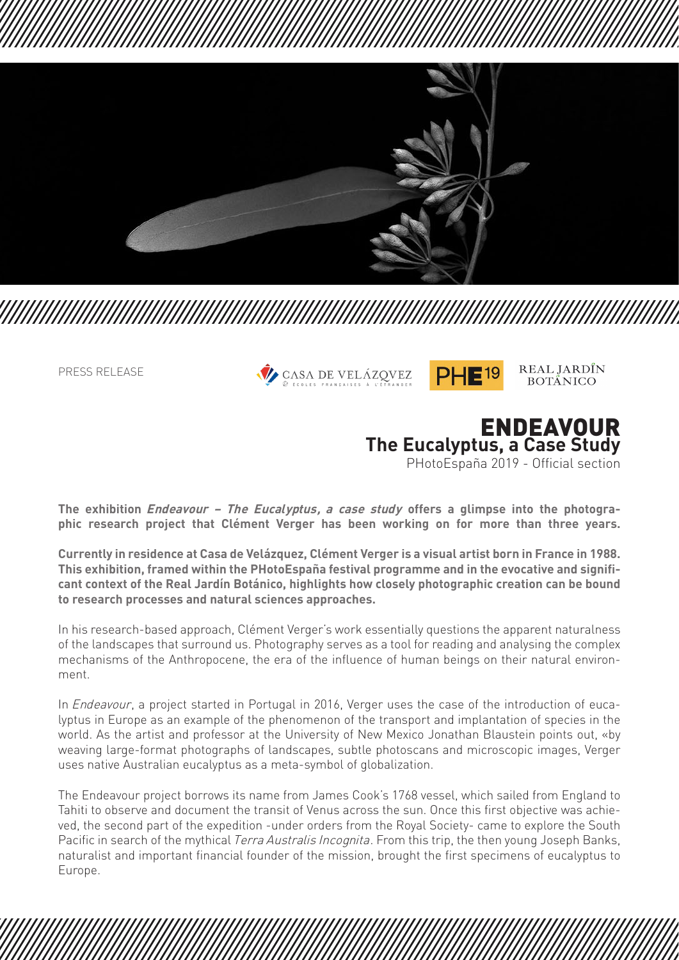

PRESS RELEASE





REAL JARDÎN **BOTÂNICO** 



**The exhibition** *Endeavour – The Eucalyptus, a case study* **offers a glimpse into the photographic research project that Clément Verger has been working on for more than three years.** 

**Currently in residence at Casa de Velázquez, Clément Verger is a visual artist born in France in 1988. This exhibition, framed within the PHotoEspaña festival programme and in the evocative and significant context of the Real Jardín Botánico, highlights how closely photographic creation can be bound to research processes and natural sciences approaches.** 

In his research-based approach, Clément Verger's work essentially questions the apparent naturalness of the landscapes that surround us. Photography serves as a tool for reading and analysing the complex mechanisms of the Anthropocene, the era of the influence of human beings on their natural environment.

In *Endeavour*, a project started in Portugal in 2016, Verger uses the case of the introduction of eucalyptus in Europe as an example of the phenomenon of the transport and implantation of species in the world. As the artist and professor at the University of New Mexico Jonathan Blaustein points out, «by weaving large-format photographs of landscapes, subtle photoscans and microscopic images, Verger uses native Australian eucalyptus as a meta-symbol of globalization.

The Endeavour project borrows its name from James Cook's 1768 vessel, which sailed from England to Tahiti to observe and document the transit of Venus across the sun. Once this first objective was achieved, the second part of the expedition -under orders from the Royal Society- came to explore the South Pacific in search of the mythical *Terra Australis Incognita*. From this trip, the then young Joseph Banks, naturalist and important financial founder of the mission, brought the first specimens of eucalyptus to Europe.